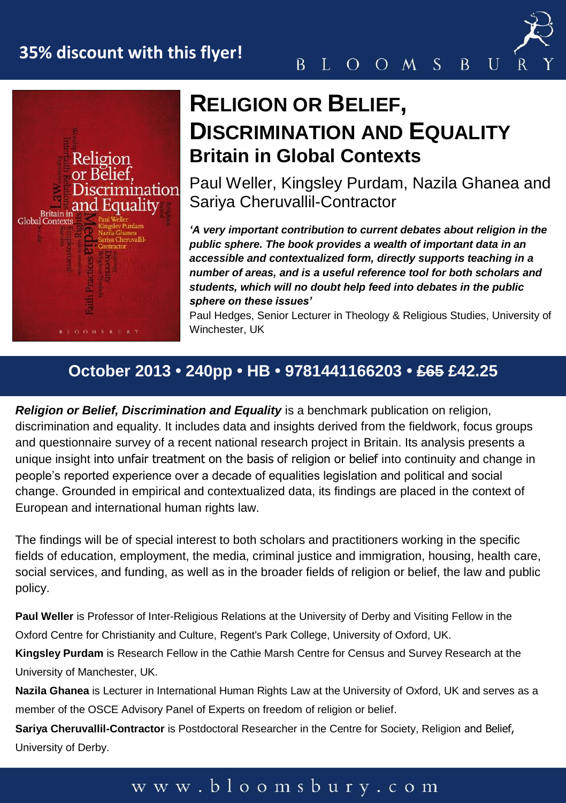# **35% discount with this flyer!**





# **RELIGION OR BELIEF, DISCRIMINATION AND EQUALITY Britain in Global Contexts**

Paul Weller, Kingsley Purdam, Nazila Ghanea and Sariya Cheruvallil-Contractor

*'A very important contribution to current debates about religion in the public sphere. The book provides a wealth of important data in an accessible and contextualized form, directly supports teaching in a number of areas, and is a useful reference tool for both scholars and students, which will no doubt help feed into debates in the public sphere on these issues'*

Paul Hedges, Senior Lecturer in Theology & Religious Studies, University of Winchester, UK

## **October 2013 • 240pp • HB • 9781441166203 • £65 £42.25**

*Religion or Belief, Discrimination and Equality* is a benchmark publication on religion, discrimination and equality. It includes data and insights derived from the fieldwork, focus groups and questionnaire survey of a recent national research project in Britain. Its analysis presents a unique insight into unfair treatment on the basis of religion or belief into continuity and change in people's reported experience over a decade of equalities legislation and political and social change. Grounded in empirical and contextualized data, its findings are placed in the context of European and international human rights law.

The findings will be of special interest to both scholars and practitioners working in the specific fields of education, employment, the media, criminal justice and immigration, housing, health care, social services, and funding, as well as in the broader fields of religion or belief, the law and public policy.

**Paul Weller** is Professor of Inter-Religious Relations at the University of Derby and Visiting Fellow in the Oxford Centre for Christianity and Culture, Regent's Park College, University of Oxford, UK.

**Kingsley Purdam** is Research Fellow in the Cathie Marsh Centre for Census and Survey Research at the University of Manchester, UK.

**Nazila Ghanea** is Lecturer in International Human Rights Law at the University of Oxford, UK and serves as a member of the OSCE Advisory Panel of Experts on freedom of religion or belief.

**Sariva Cheruvallil-Contractor** is Postdoctoral Researcher in the Centre for Society, Religion and Belief, University of Derby.

### www.bloomsbury.com